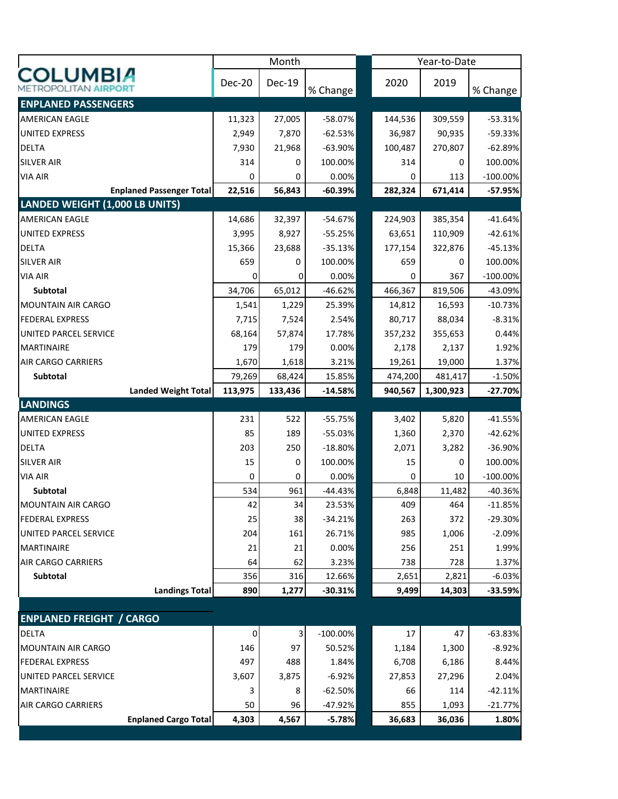|                                                |         | Month                     |             |         | Year-to-Date |             |
|------------------------------------------------|---------|---------------------------|-------------|---------|--------------|-------------|
| <b>COLUMBIA</b><br><b>METROPOLITAN AIRPORT</b> | Dec-20  | <b>Dec-19</b>             | % Change    | 2020    | 2019         | % Change    |
| <b>ENPLANED PASSENGERS</b>                     |         |                           |             |         |              |             |
| <b>AMERICAN EAGLE</b>                          | 11,323  | 27,005                    | $-58.07%$   | 144,536 | 309,559      | $-53.31%$   |
| <b>UNITED EXPRESS</b>                          | 2,949   | 7,870                     | $-62.53%$   | 36,987  | 90,935       | $-59.33%$   |
| <b>DELTA</b>                                   | 7,930   | 21,968                    | $-63.90%$   | 100,487 | 270,807      | $-62.89%$   |
| <b>SILVER AIR</b>                              | 314     | 0                         | 100.00%     | 314     | 0            | 100.00%     |
| <b>VIA AIR</b>                                 | 0       | 0                         | 0.00%       | 0       | 113          | $-100.00\%$ |
| <b>Enplaned Passenger Total</b>                | 22,516  | 56,843                    | $-60.39%$   | 282,324 | 671,414      | $-57.95%$   |
| <b>LANDED WEIGHT (1,000 LB UNITS)</b>          |         |                           |             |         |              |             |
| <b>AMERICAN EAGLE</b>                          | 14,686  | 32,397                    | $-54.67%$   | 224,903 | 385,354      | $-41.64%$   |
| <b>UNITED EXPRESS</b>                          | 3,995   | 8,927                     | $-55.25%$   | 63,651  | 110,909      | $-42.61%$   |
| <b>DELTA</b>                                   | 15,366  | 23,688                    | $-35.13%$   | 177,154 | 322,876      | $-45.13%$   |
| <b>SILVER AIR</b>                              | 659     | 0                         | 100.00%     | 659     | 0            | 100.00%     |
| <b>VIA AIR</b>                                 | 0       | 0                         | 0.00%       | 0       | 367          | $-100.00\%$ |
| Subtotal                                       | 34,706  | 65,012                    | -46.62%     | 466,367 | 819,506      | $-43.09%$   |
| <b>MOUNTAIN AIR CARGO</b>                      | 1,541   | 1,229                     | 25.39%      | 14,812  | 16,593       | $-10.73%$   |
| <b>FEDERAL EXPRESS</b>                         | 7,715   | 7,524                     | 2.54%       | 80,717  | 88,034       | $-8.31%$    |
| UNITED PARCEL SERVICE                          | 68,164  | 57,874                    | 17.78%      | 357,232 | 355,653      | 0.44%       |
| <b>MARTINAIRE</b>                              | 179     | 179                       | 0.00%       | 2,178   | 2,137        | 1.92%       |
| <b>AIR CARGO CARRIERS</b>                      | 1,670   | 1,618                     | 3.21%       | 19,261  | 19,000       | 1.37%       |
| Subtotal                                       | 79,269  | 68,424                    | 15.85%      | 474,200 | 481,417      | $-1.50%$    |
| <b>Landed Weight Total</b>                     | 113,975 | 133,436                   | $-14.58%$   | 940,567 | 1,300,923    | $-27.70%$   |
| <b>LANDINGS</b>                                |         |                           |             |         |              |             |
| <b>AMERICAN EAGLE</b>                          | 231     | 522                       | $-55.75%$   | 3,402   | 5,820        | $-41.55%$   |
| <b>UNITED EXPRESS</b>                          | 85      | 189                       | $-55.03%$   | 1,360   | 2,370        | $-42.62%$   |
| <b>DELTA</b>                                   | 203     | 250                       | $-18.80%$   | 2,071   | 3,282        | $-36.90%$   |
| <b>SILVER AIR</b>                              | 15      | 0                         | 100.00%     | 15      | 0            | 100.00%     |
| <b>VIA AIR</b>                                 | 0       | 0                         | 0.00%       | 0       | 10           | $-100.00\%$ |
| Subtotal                                       | 534     | 961                       | $-44.43%$   | 6,848   | 11,482       | $-40.36%$   |
| MOUNTAIN AIR CARGO                             | 42      | 34                        | 23.53%      | 409     | 464          | $-11.85%$   |
| <b>FEDERAL EXPRESS</b>                         | 25      | 38                        | $-34.21%$   | 263     | 372          | $-29.30%$   |
| UNITED PARCEL SERVICE                          | 204     | 161                       | 26.71%      | 985     | 1,006        | $-2.09%$    |
| MARTINAIRE                                     | 21      | 21                        | 0.00%       | 256     | 251          | 1.99%       |
| <b>AIR CARGO CARRIERS</b>                      | 64      | 62                        | 3.23%       | 738     | 728          | 1.37%       |
| Subtotal                                       | 356     | 316                       | 12.66%      | 2,651   | 2,821        | $-6.03%$    |
| <b>Landings Total</b>                          | 890     | 1,277                     | $-30.31%$   | 9,499   | 14,303       | $-33.59%$   |
|                                                |         |                           |             |         |              |             |
| <b>ENPLANED FREIGHT / CARGO</b>                |         |                           |             |         |              |             |
| <b>DELTA</b>                                   | 0       | $\ensuremath{\mathsf{3}}$ | $-100.00\%$ | 17      | 47           | $-63.83%$   |
| <b>MOUNTAIN AIR CARGO</b>                      | 146     | 97                        | 50.52%      | 1,184   | 1,300        | $-8.92%$    |
| <b>FEDERAL EXPRESS</b>                         | 497     | 488                       | 1.84%       | 6,708   | 6,186        | 8.44%       |
| UNITED PARCEL SERVICE                          | 3,607   | 3,875                     | $-6.92%$    | 27,853  | 27,296       | 2.04%       |
| <b>MARTINAIRE</b>                              | 3       | 8                         | $-62.50%$   | 66      | 114          | $-42.11%$   |
| <b>AIR CARGO CARRIERS</b>                      | 50      | 96                        | -47.92%     | 855     | 1,093        | $-21.77%$   |
| <b>Enplaned Cargo Total</b>                    | 4,303   | 4,567                     | $-5.78%$    | 36,683  | 36,036       | 1.80%       |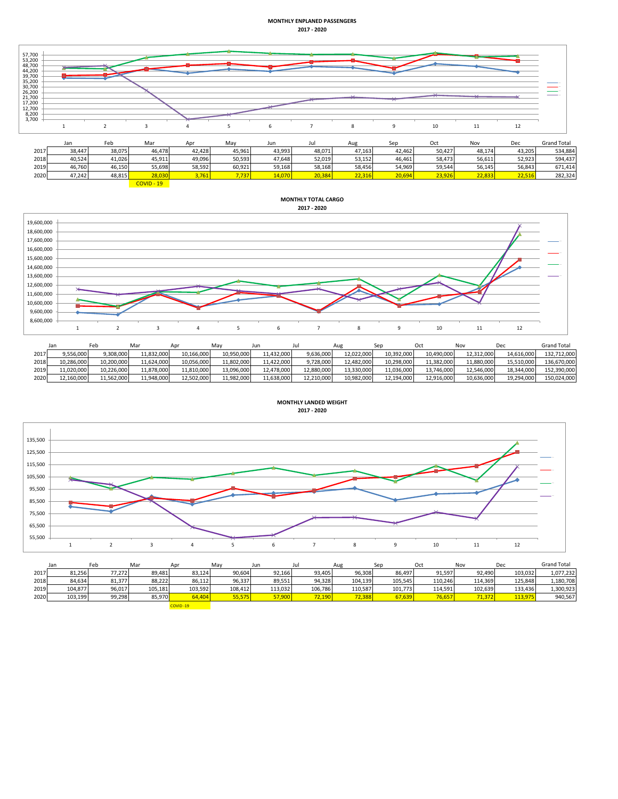## **MONTHLY ENPLANED PASSENGERS 2017 - 2020**



|      | Jdil   | <b>FED</b> | ivid   | ADI    | <b>IVIdV</b> | Jun    |        | Au            | <b>SED</b> |               | ישויו  | ישע    | जवाप एरवा |
|------|--------|------------|--------|--------|--------------|--------|--------|---------------|------------|---------------|--------|--------|-----------|
| 2017 | 38,447 | 38,075     | 46.478 | 42.428 | 45,961       | 43,993 | 48,071 | 47,163        | 42.462     | 50,427        | 48,174 | 43.205 | 534.884   |
| 2018 | 40,524 | 11,026     | 45,911 | 19,096 | 50,593       | 47,648 | 52,019 | 53,152        | 46.461     | 58,473        | 56,611 | 52.923 | 594.437   |
| 2019 | 46,760 | 46,150     | 55,698 | 58,592 | 60,921       | 59,168 | 58,168 | 58,456        | 54,969     | 59,544        | 56,145 | 56,843 | 671,414   |
| 2020 | 47.242 | 48.815     | 28,030 | 761    | 7.737        |        | 20.384 | $\sim$ $\sim$ | 20.694     | <b>33.926</b> | 22.833 | 2255   | 282.324   |

COVID - 19

## **MONTHLY TOTAL CARGO 2017 - 2020**



|      |            | ™eb        | Mar        | Apr        | Mav        | Jun        | Jul        | Aug        |            | Oct        | Nov        | Dec        | <b>Grand Total</b> |
|------|------------|------------|------------|------------|------------|------------|------------|------------|------------|------------|------------|------------|--------------------|
| 2017 | 9.556.000  | 9.308.000  | 11.832.000 | 10.166.000 | 10.950.000 | 11.432.000 | 9.636.000  | 12.022.000 | 10.392.000 | 10.490.000 | 12.312.000 | 14.616.000 | 132,712,000        |
| 2018 | 10.286.000 | 10.200.000 | 11.624.000 | 10.056.000 | 11.802.000 | 11.422.000 | 9.728.000  | 12.482.000 | 10.298.000 | 11.382.000 | 11.880.000 | 15.510.000 | 136.670.000        |
| 2019 | 1,020,000  | 10,226,000 | 11,878,000 | 11,810,000 | 13,096,000 | 12.478.000 | 12,880,000 | 13,330,000 | 11,036,000 | 13.746.000 | 12.546.000 | 18,344,000 | 152,390,000        |
| 2020 | 12,160,000 | 11,562,000 | 11,948,000 | 12,502,000 | 11,982,000 | 11.638.000 | 12,210,000 | 10,982,000 | 12,194,000 | 12,916,000 | 10,636,000 | 19,294,000 | 150,024,000        |



|      | Jan     | Feb    | Mar     | Apr      | May     | Jun     | Jul     | Aug     | Sec     | Oct     | Nov     | Dec     | <b>Grand Total</b> |
|------|---------|--------|---------|----------|---------|---------|---------|---------|---------|---------|---------|---------|--------------------|
| 2017 | 81,256  | 77,272 | 89.481  | 83,124   | 90,604  | 92,166  | 93.405  | 96,308  | 86.497  | 91,597  | 92.490  | 103.032 | 1,077,232          |
| 2018 | 84,634  | 81,377 | 88.222  | 86,112   | 96,337  | 89,551  | 94.328  | 104,139 | 105.545 | 110.246 | 114.369 | 125.848 | 1,180,708          |
| 2019 | 104,877 | 96,017 | 105,181 | 103,592  | 108,412 | 113.032 | 106,786 | 110,587 | 101.773 | 114.591 | 102,639 | 133,436 | 1,300,923          |
| 2020 | 103,199 | 99,298 | 85,970  | 64,404   | 55,575  | 57,900  | 72,190  | 72,388  | 67,639  | 76,657  | 71,372  | 113,975 | 940,567            |
|      |         |        |         | COVID-19 |         |         |         |         |         |         |         |         |                    |

**MONTHLY LANDED WEIGHT**